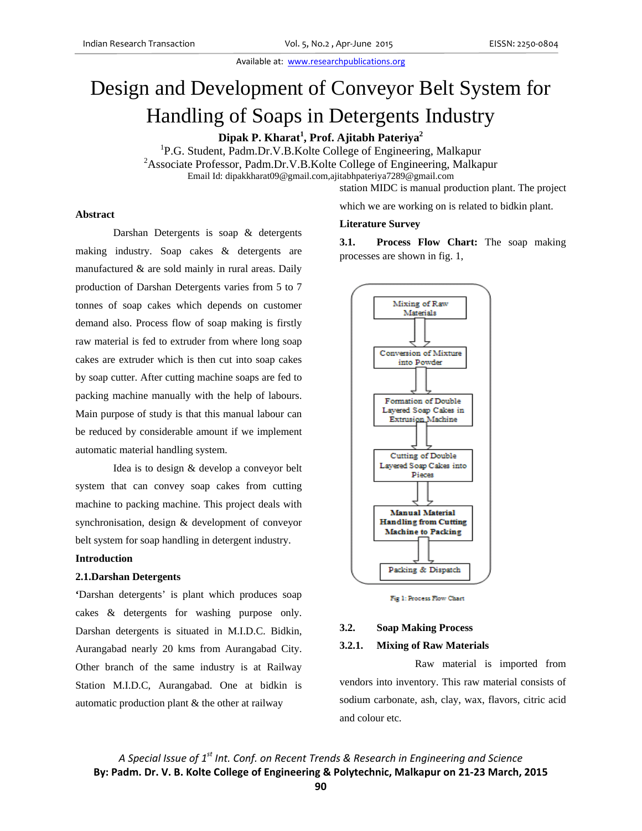# Design and Development of Conveyor Belt System for Handling of Soaps in Detergents Industry

**Dipak P. Kharat1 , Prof. Ajitabh Pateriya<sup>2</sup>**

<sup>1</sup>P.G. Student, Padm.Dr.V.B.Kolte College of Engineering, Malkapur <sup>2</sup> Associate Professor, Padm.Dr.V.B.Kolte College of Engineering, Malkapur Email Id: dipakkharat09@gmail.com,ajitabhpateriya7289@gmail.com

**Literature Survey**

processes are shown in fig. 1,

station MIDC is manual production plant. The project

which we are working on is related to bidkin plant.

#### **Abstract**

Darshan Detergents is soap & detergents making industry. Soap cakes & detergents are manufactured & are sold mainly in rural areas. Daily production of Darshan Detergents varies from 5 to 7 tonnes of soap cakes which depends on customer demand also. Process flow of soap making is firstly raw material is fed to extruder from where long soap cakes are extruder which is then cut into soap cakes by soap cutter. After cutting machine soaps are fed to packing machine manually with the help of labours. Main purpose of study is that this manual labour can be reduced by considerable amount if we implement automatic material handling system.

Idea is to design & develop a conveyor belt system that can convey soap cakes from cutting machine to packing machine. This project deals with synchronisation, design & development of conveyor belt system for soap handling in detergent industry.

#### **Introduction**

#### **2.1.Darshan Detergents**

**'**Darshan detergents' is plant which produces soap cakes & detergents for washing purpose only. Darshan detergents is situated in M.I.D.C. Bidkin, Aurangabad nearly 20 kms from Aurangabad City. Other branch of the same industry is at Railway Station M.I.D.C, Aurangabad. One at bidkin is automatic production plant & the other at railway

**3.1. Process Flow Chart:** The soap making

Mixing of Raw Materials Conversion of Mixture into Powder Formation of Double Layered Soap Cakes in **Extrusion Machine Cutting of Double** Layered Soap Cakes into Pieces **Manual Material Handling from Cutting Machine to Packing** Packing & Dispatch

Fig 1: Process Flow Chart

#### **3.2. Soap Making Process**

#### **3.2.1. Mixing of Raw Materials**

Raw material is imported from vendors into inventory. This raw material consists of sodium carbonate, ash, clay, wax, flavors, citric acid and colour etc.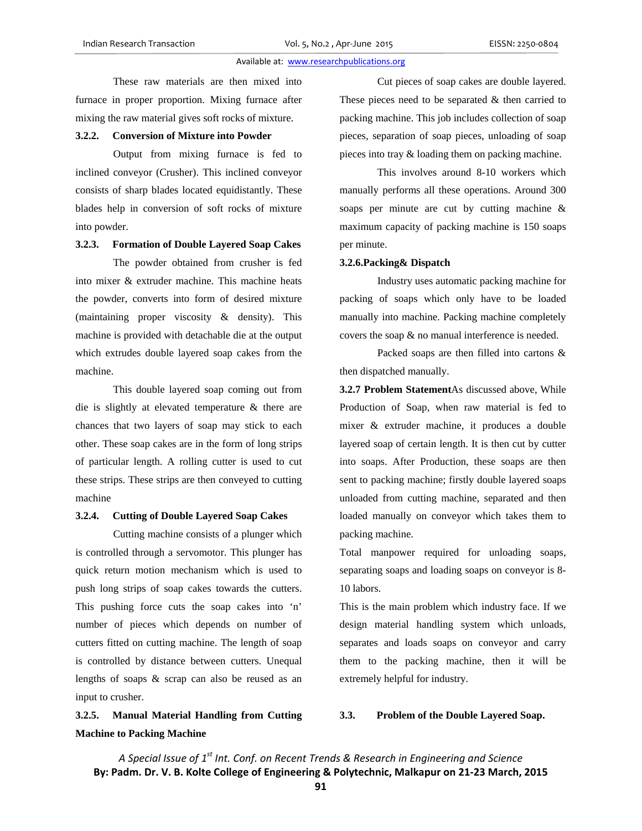These raw materials are then mixed into furnace in proper proportion. Mixing furnace after mixing the raw material gives soft rocks of mixture.

# **3.2.2. Conversion of Mixture into Powder**

Output from mixing furnace is fed to inclined conveyor (Crusher). This inclined conveyor consists of sharp blades located equidistantly. These blades help in conversion of soft rocks of mixture into powder.

# **3.2.3. Formation of Double Layered Soap Cakes**

 The powder obtained from crusher is fed into mixer & extruder machine. This machine heats the powder, converts into form of desired mixture (maintaining proper viscosity & density). This machine is provided with detachable die at the output which extrudes double layered soap cakes from the machine.

 This double layered soap coming out from die is slightly at elevated temperature & there are chances that two layers of soap may stick to each other. These soap cakes are in the form of long strips of particular length. A rolling cutter is used to cut these strips. These strips are then conveyed to cutting machine

# **3.2.4. Cutting of Double Layered Soap Cakes**

 Cutting machine consists of a plunger which is controlled through a servomotor. This plunger has quick return motion mechanism which is used to push long strips of soap cakes towards the cutters. This pushing force cuts the soap cakes into 'n' number of pieces which depends on number of cutters fitted on cutting machine. The length of soap is controlled by distance between cutters. Unequal lengths of soaps & scrap can also be reused as an input to crusher.

# **3.2.5. Manual Material Handling from Cutting Machine to Packing Machine**

 Cut pieces of soap cakes are double layered. These pieces need to be separated  $&$  then carried to packing machine. This job includes collection of soap pieces, separation of soap pieces, unloading of soap pieces into tray & loading them on packing machine.

 This involves around 8-10 workers which manually performs all these operations. Around 300 soaps per minute are cut by cutting machine & maximum capacity of packing machine is 150 soaps per minute.

#### **3.2.6.Packing& Dispatch**

 Industry uses automatic packing machine for packing of soaps which only have to be loaded manually into machine. Packing machine completely covers the soap & no manual interference is needed.

 Packed soaps are then filled into cartons & then dispatched manually.

**3.2.7 Problem Statement**As discussed above, While Production of Soap, when raw material is fed to mixer & extruder machine, it produces a double layered soap of certain length. It is then cut by cutter into soaps. After Production, these soaps are then sent to packing machine; firstly double layered soaps unloaded from cutting machine, separated and then loaded manually on conveyor which takes them to packing machine.

Total manpower required for unloading soaps, separating soaps and loading soaps on conveyor is 8- 10 labors.

This is the main problem which industry face. If we design material handling system which unloads, separates and loads soaps on conveyor and carry them to the packing machine, then it will be extremely helpful for industry.

# **3.3. Problem of the Double Layered Soap.**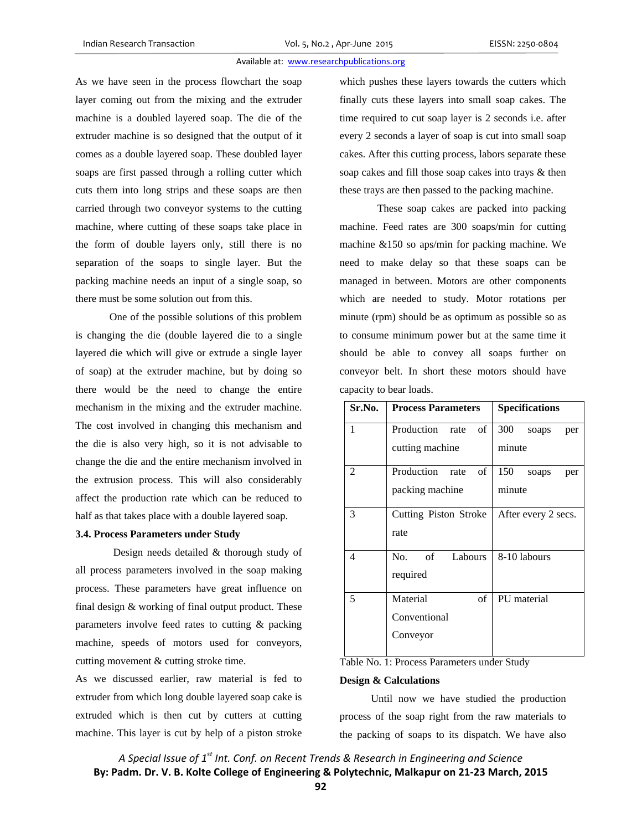As we have seen in the process flowchart the soap layer coming out from the mixing and the extruder machine is a doubled layered soap. The die of the extruder machine is so designed that the output of it comes as a double layered soap. These doubled layer soaps are first passed through a rolling cutter which cuts them into long strips and these soaps are then carried through two conveyor systems to the cutting machine, where cutting of these soaps take place in the form of double layers only, still there is no separation of the soaps to single layer. But the packing machine needs an input of a single soap, so there must be some solution out from this.

 One of the possible solutions of this problem is changing the die (double layered die to a single layered die which will give or extrude a single layer of soap) at the extruder machine, but by doing so there would be the need to change the entire mechanism in the mixing and the extruder machine. The cost involved in changing this mechanism and the die is also very high, so it is not advisable to change the die and the entire mechanism involved in the extrusion process. This will also considerably affect the production rate which can be reduced to half as that takes place with a double layered soap.

#### **3.4. Process Parameters under Study**

Design needs detailed & thorough study of all process parameters involved in the soap making process. These parameters have great influence on final design & working of final output product. These parameters involve feed rates to cutting & packing machine, speeds of motors used for conveyors, cutting movement & cutting stroke time.

As we discussed earlier, raw material is fed to extruder from which long double layered soap cake is extruded which is then cut by cutters at cutting machine. This layer is cut by help of a piston stroke which pushes these layers towards the cutters which finally cuts these layers into small soap cakes. The time required to cut soap layer is 2 seconds i.e. after every 2 seconds a layer of soap is cut into small soap cakes. After this cutting process, labors separate these soap cakes and fill those soap cakes into trays & then these trays are then passed to the packing machine.

 These soap cakes are packed into packing machine. Feed rates are 300 soaps/min for cutting machine &150 so aps/min for packing machine. We need to make delay so that these soaps can be managed in between. Motors are other components which are needed to study. Motor rotations per minute (rpm) should be as optimum as possible so as to consume minimum power but at the same time it should be able to convey all soaps further on conveyor belt. In short these motors should have capacity to bear loads.

| Sr.No. | <b>Process Parameters</b> | <b>Specifications</b> |
|--------|---------------------------|-----------------------|
| 1      | Production rate<br>of     | 300<br>soaps<br>per   |
|        | cutting machine           | minute                |
| 2      | Production rate of        | 150<br>soaps<br>per   |
|        | packing machine           | minute                |
| 3      | Cutting Piston Stroke     | After every 2 secs.   |
|        | rate                      |                       |
| 4      | No. of<br>Labours         | 8-10 labours          |
|        | required                  |                       |
| 5      | Material<br>of            | PU material           |
|        | Conventional              |                       |
|        | Conveyor                  |                       |

Table No. 1: Process Parameters under Study

#### **Design & Calculations**

 Until now we have studied the production process of the soap right from the raw materials to the packing of soaps to its dispatch. We have also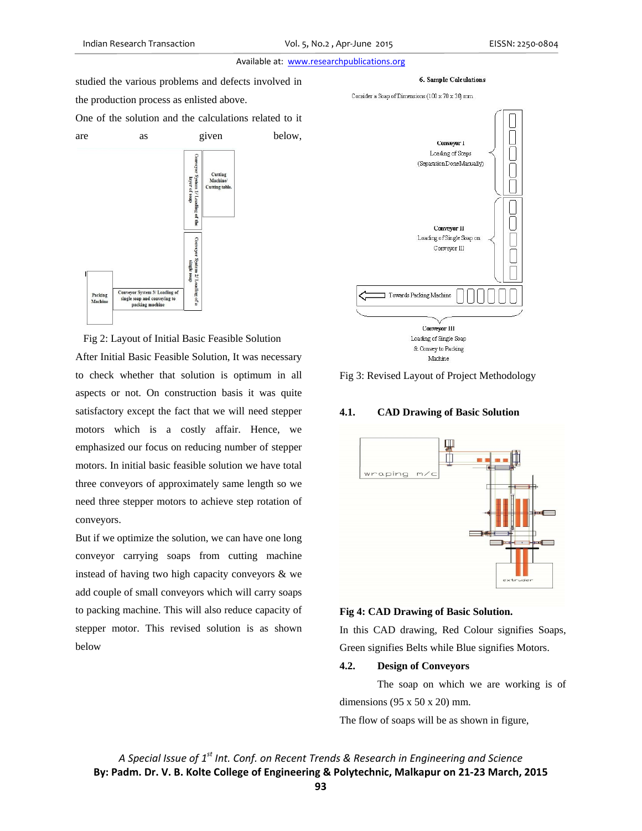studied the various problems and defects involved in the production process as enlisted above. One of the solution and the calculations related to it



 Fig 2: Layout of Initial Basic Feasible Solution After Initial Basic Feasible Solution, It was necessary to check whether that solution is optimum in all aspects or not. On construction basis it was quite satisfactory except the fact that we will need stepper motors which is a costly affair. Hence, we emphasized our focus on reducing number of stepper motors. In initial basic feasible solution we have total three conveyors of approximately same length so we need three stepper motors to achieve step rotation of conveyors.

But if we optimize the solution, we can have one long conveyor carrying soaps from cutting machine instead of having two high capacity conveyors & we add couple of small conveyors which will carry soaps to packing machine. This will also reduce capacity of stepper motor. This revised solution is as shown below







## Fig 3: Revised Layout of Project Methodology

#### **4.1. CAD Drawing of Basic Solution**



#### **Fig 4: CAD Drawing of Basic Solution.**

In this CAD drawing, Red Colour signifies Soaps, Green signifies Belts while Blue signifies Motors.

# **4.2. Design of Conveyors**

 The soap on which we are working is of dimensions  $(95 \times 50 \times 20)$  mm.

The flow of soaps will be as shown in figure,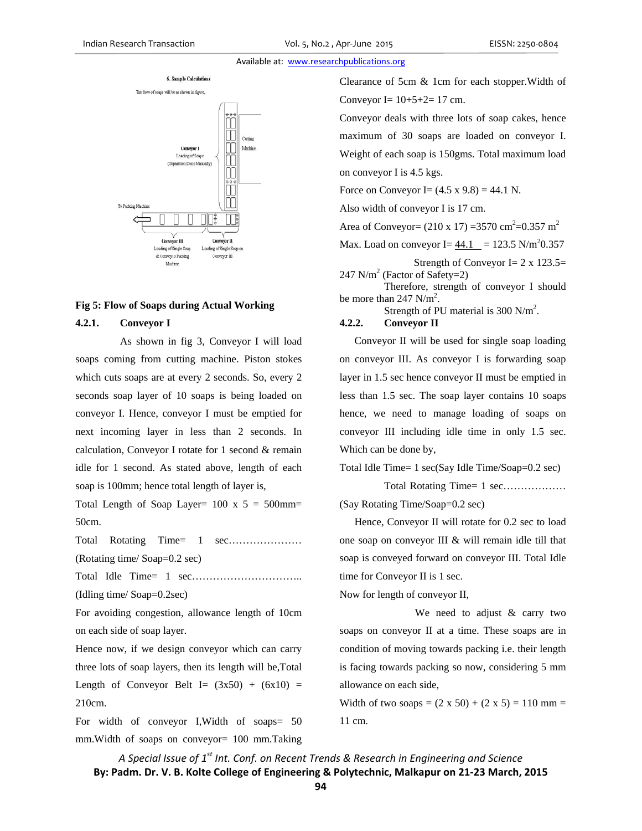# 6. Sample Calculations The flow of soaps will be as shown in figure, Cutting Machine Conveyor J Loading of Soap: (Separation Done Manually)

To Packing Machine Conveyor III nveyor II Loading of Single Soap Loading of Single Soap or & Convey to Packing Conveyor III

# **Fig 5: Flow of Soaps during Actual Working**

Machine

# **4.2.1. Conveyor I**

 As shown in fig 3, Conveyor I will load soaps coming from cutting machine. Piston stokes which cuts soaps are at every 2 seconds. So, every 2 seconds soap layer of 10 soaps is being loaded on conveyor I. Hence, conveyor I must be emptied for next incoming layer in less than 2 seconds. In calculation, Conveyor I rotate for 1 second & remain idle for 1 second. As stated above, length of each soap is 100mm; hence total length of layer is,

Total Length of Soap Layer=  $100 \times 5 = 500$ mm= 50cm.

Total Rotating Time= 1 sec..................... (Rotating time/ Soap=0.2 sec)

Total Idle Time= 1 sec…………………………..

(Idling time/ Soap=0.2sec)

For avoiding congestion, allowance length of 10cm on each side of soap layer.

Hence now, if we design conveyor which can carry three lots of soap layers, then its length will be,Total Length of Conveyor Belt I=  $(3x50) + (6x10) =$ 210cm.

For width of conveyor I,Width of soaps= 50 mm.Width of soaps on conveyor= 100 mm.Taking Clearance of 5cm & 1cm for each stopper.Width of Conveyor I=  $10+5+2=17$  cm.

Conveyor deals with three lots of soap cakes, hence maximum of 30 soaps are loaded on conveyor I. Weight of each soap is 150gms. Total maximum load on conveyor I is 4.5 kgs.

Force on Conveyor I =  $(4.5 \times 9.8) = 44.1 \text{ N}$ .

Also width of conveyor I is 17 cm.

Area of Conveyor =  $(210 \times 17)$  = 3570 cm<sup>2</sup> = 0.357 m<sup>2</sup>

Max. Load on conveyor I=  $44.1$  = 123.5 N/m<sup>2</sup>0.357

Strength of Conveyor I =  $2 \times 123.5$  $247$  N/m<sup>2</sup> (Factor of Safety=2)

 Therefore, strength of conveyor I should be more than  $247 \text{ N/m}^2$ .

Strength of PU material is 300 N/m<sup>2</sup>.

# **4.2.2. Conveyor II**

Conveyor II will be used for single soap loading on conveyor III. As conveyor I is forwarding soap layer in 1.5 sec hence conveyor II must be emptied in less than 1.5 sec. The soap layer contains 10 soaps hence, we need to manage loading of soaps on conveyor III including idle time in only 1.5 sec. Which can be done by,

Total Idle Time= 1 sec(Say Idle Time/Soap=0.2 sec)

Total Rotating Time= 1 sec.................. (Say Rotating Time/Soap=0.2 sec)

 Hence, Conveyor II will rotate for 0.2 sec to load one soap on conveyor III & will remain idle till that soap is conveyed forward on conveyor III. Total Idle time for Conveyor II is 1 sec.

Now for length of conveyor II,

 We need to adjust & carry two soaps on conveyor II at a time. These soaps are in condition of moving towards packing i.e. their length is facing towards packing so now, considering 5 mm allowance on each side,

Width of two soaps =  $(2 \times 50) + (2 \times 5) = 110$  mm = 11 cm.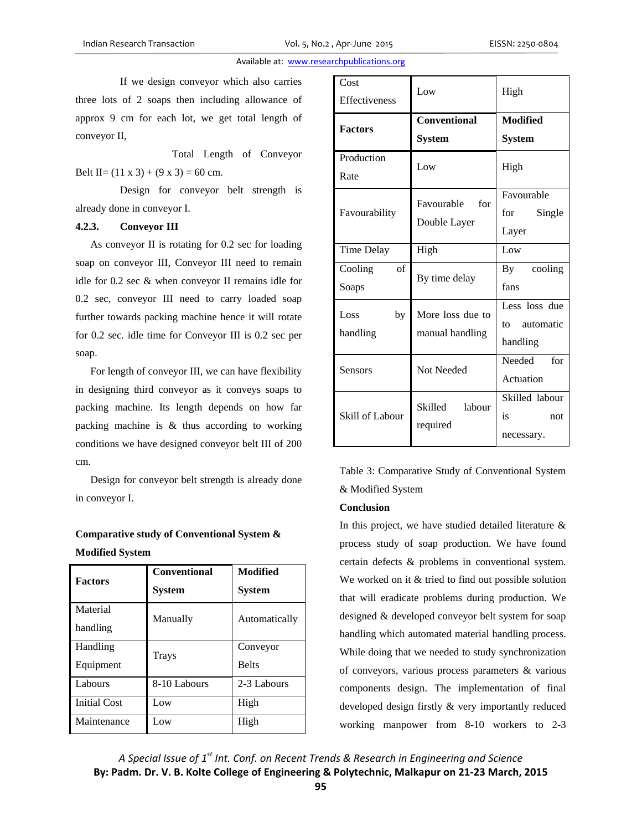If we design conveyor which also carries three lots of 2 soaps then including allowance of approx 9 cm for each lot, we get total length of conveyor II,

 Total Length of Conveyor Belt II=  $(11 \times 3) + (9 \times 3) = 60$  cm.

 Design for conveyor belt strength is already done in conveyor I.

#### **4.2.3. Conveyor III**

As conveyor II is rotating for 0.2 sec for loading soap on conveyor III, Conveyor III need to remain idle for 0.2 sec & when conveyor II remains idle for 0.2 sec, conveyor III need to carry loaded soap further towards packing machine hence it will rotate for 0.2 sec. idle time for Conveyor III is 0.2 sec per soap.

 For length of conveyor III, we can have flexibility in designing third conveyor as it conveys soaps to packing machine. Its length depends on how far packing machine is & thus according to working conditions we have designed conveyor belt III of 200 cm.

 Design for conveyor belt strength is already done in conveyor I.

**Comparative study of Conventional System & Modified System** 

| <b>Factors</b>        | <b>Conventional</b><br><b>System</b> | Modified<br><b>System</b> |
|-----------------------|--------------------------------------|---------------------------|
| Material<br>handling  | Manually                             | Automatically             |
| Handling<br>Equipment | Trays                                | Conveyor<br><b>Belts</b>  |
| Labours               | 8-10 Labours                         | 2-3 Labours               |
| <b>Initial Cost</b>   | Low                                  | High                      |
| Maintenance           | Low                                  | High                      |

| Cost<br><b>Effectiveness</b> | Low                                  | High                                         |
|------------------------------|--------------------------------------|----------------------------------------------|
| <b>Factors</b>               | <b>Conventional</b><br><b>System</b> | <b>Modified</b><br><b>System</b>             |
| Production<br>Rate           | Low                                  | High                                         |
| Favourability                | Favourable<br>for<br>Double Layer    | Favourable<br>for<br>Single<br>Layer         |
| Time Delay                   | High                                 | Low                                          |
| of<br>Cooling<br>Soaps       | By time delay                        | cooling<br>$\mathbf{B}\mathbf{v}$<br>fans    |
| Loss<br>by<br>handling       | More loss due to<br>manual handling  | Less loss due<br>automatic<br>to<br>handling |
| Sensors                      | <b>Not Needed</b>                    | Needed<br>for<br>Actuation                   |
| Skill of Labour              | Skilled<br>labour<br>required        | Skilled labour<br>is<br>not<br>necessary.    |

Table 3: Comparative Study of Conventional System & Modified System

## **Conclusion**

In this project, we have studied detailed literature  $\&$ process study of soap production. We have found certain defects & problems in conventional system. We worked on it & tried to find out possible solution that will eradicate problems during production. We designed & developed conveyor belt system for soap handling which automated material handling process. While doing that we needed to study synchronization of conveyors, various process parameters & various components design. The implementation of final developed design firstly & very importantly reduced working manpower from 8-10 workers to 2-3